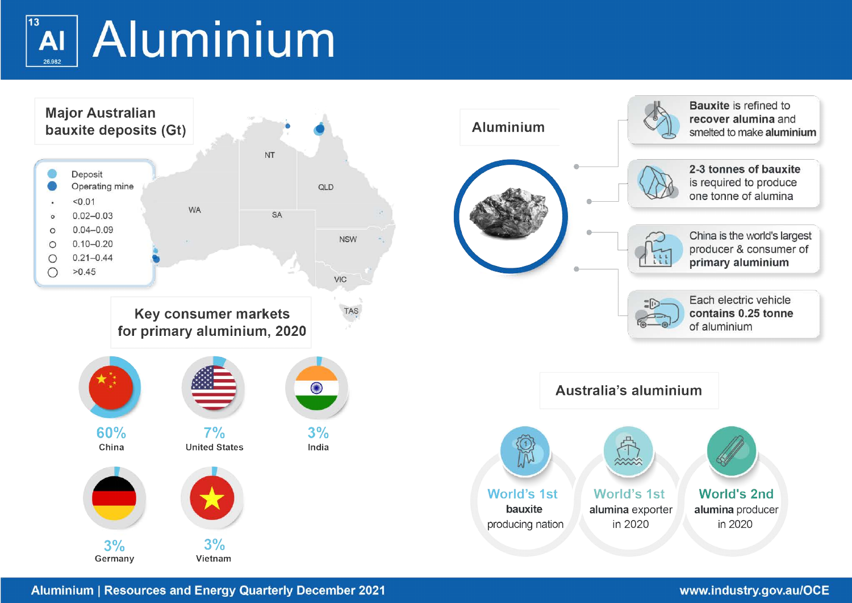# $13$ AI Aluminium 26.982



**Aluminium | Resources and Energy Quarterly December 2021**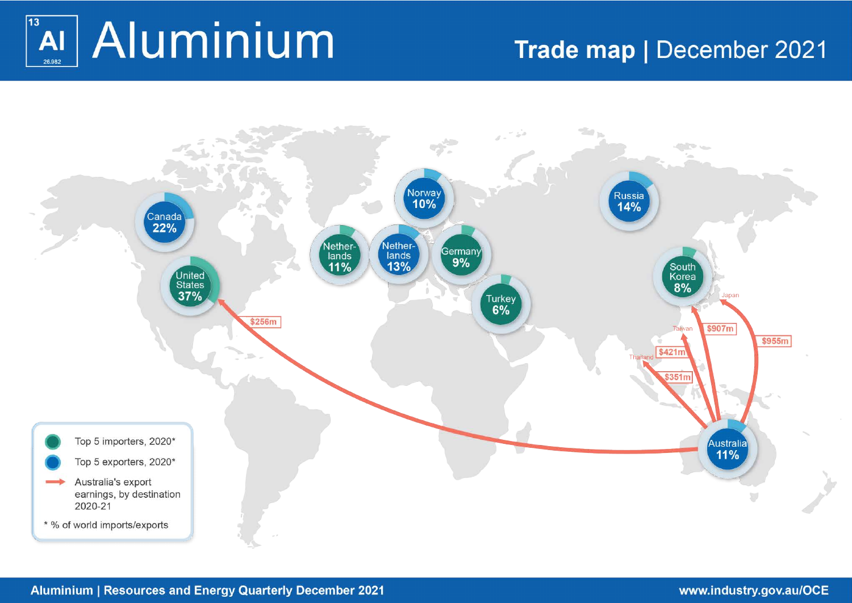

# Trade map | December 2021

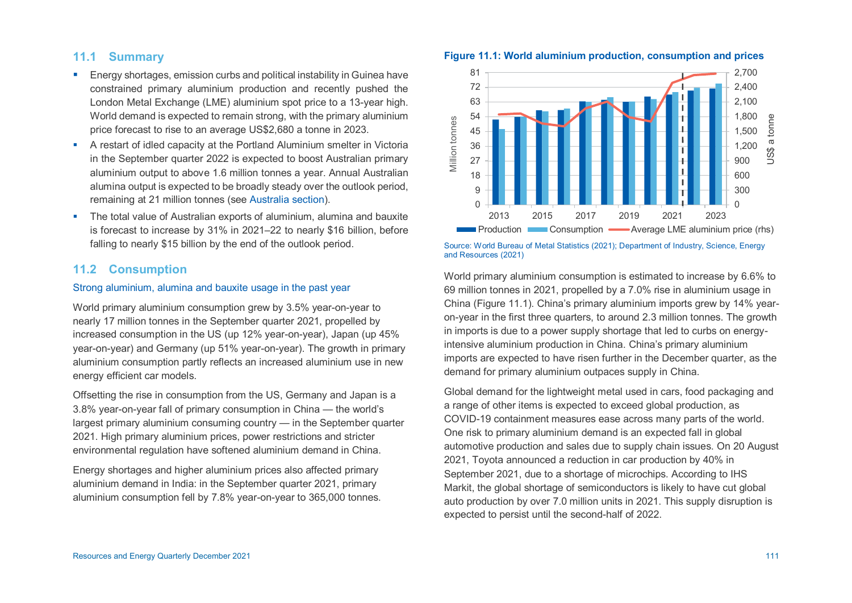# **11.1 Summary**

- Energy shortages, emission curbs and political instability in Guinea have constrained primary aluminium production and recently pushed the London Metal Exchange (LME) aluminium spot price to a 13-year high. World demand is expected to remain strong, with the primary aluminium price forecast to rise to an average US\$2,680 a tonne in 2023.
- A restart of idled capacity at the Portland Aluminium smelter in Victoria in the September quarter 2022 is expected to boost Australian primary aluminium output to above 1.6 million tonnes a year. Annual Australian alumina output is expected to be broadly steady over the outlook period, remaining at 21 million tonnes (see [Australia section\)](#page-8-0).
- The total value of Australian exports of aluminium, alumina and bauxite is forecast to increase by 31% in 2021–22 to nearly \$16 billion, before falling to nearly \$15 billion by the end of the outlook period.

# **11.2 Consumption**

# Strong aluminium, alumina and bauxite usage in the past year

World primary aluminium consumption grew by 3.5% year-on-year to nearly 17 million tonnes in the September quarter 2021, propelled by increased consumption in the US (up 12% year-on-year), Japan (up 45% year-on-year) and Germany (up 51% year-on-year). The growth in primary aluminium consumption partly reflects an increased aluminium use in new energy efficient car models.

Offsetting the rise in consumption from the US, Germany and Japan is a 3.8% year-on-year fall of primary consumption in China — the world's largest primary aluminium consuming country — in the September quarter 2021. High primary aluminium prices, power restrictions and stricter environmental regulation have softened aluminium demand in China.

Energy shortages and higher aluminium prices also affected primary aluminium demand in India: in the September quarter 2021, primary aluminium consumption fell by 7.8% year-on-year to 365,000 tonnes.





**Figure 11.1: World aluminium production, consumption and prices** 

Source: World Bureau of Metal Statistics (2021); Department of Industry, Science, Energy and Resources (2021)

World primary aluminium consumption is estimated to increase by 6.6% to 69 million tonnes in 2021, propelled by a 7.0% rise in aluminium usage in China (Figure 11.1). China's primary aluminium imports grew by 14% yearon-year in the first three quarters, to around 2.3 million tonnes. The growth in imports is due to a power supply shortage that led to curbs on energyintensive aluminium production in China. China's primary aluminium imports are expected to have risen further in the December quarter, as the demand for primary aluminium outpaces supply in China.

Global demand for the lightweight metal used in cars, food packaging and a range of other items is expected to exceed global production, as COVID-19 containment measures ease across many parts of the world. One risk to primary aluminium demand is an expected fall in global automotive production and sales due to supply chain issues. On 20 August 2021, Toyota announced a reduction in car production by 40% in September 2021, due to a shortage of microchips. According to IHS Markit, the global shortage of semiconductors is likely to have cut global auto production by over 7.0 million units in 2021. This supply disruption is expected to persist until the second-half of 2022.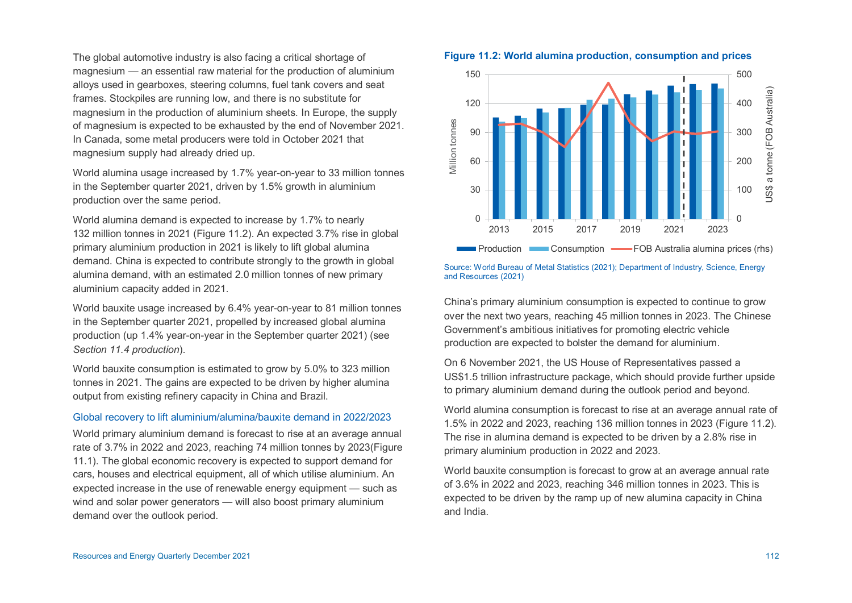The global automotive industry is also facing a critical shortage of magnesium — an essential raw material for the production of aluminium alloys used in gearboxes, steering columns, fuel tank covers and seat frames. Stockpiles are running low, and there is no substitute for magnesium in the production of aluminium sheets. In Europe, the supply of magnesium is expected to be exhausted by the end of November 2021. In Canada, some metal producers were told in October 2021 that magnesium supply had already dried up.

World alumina usage increased by 1.7% year-on-year to 33 million tonnes in the September quarter 2021, driven by 1.5% growth in aluminium production over the same period.

World alumina demand is expected to increase by 1.7% to nearly 132 million tonnes in 2021 (Figure 11.2). An expected 3.7% rise in global primary aluminium production in 2021 is likely to lift global alumina demand. China is expected to contribute strongly to the growth in global alumina demand, with an estimated 2.0 million tonnes of new primary aluminium capacity added in 2021.

World bauxite usage increased by 6.4% year-on-year to 81 million tonnes in the September quarter 2021, propelled by increased global alumina production (up 1.4% year-on-year in the September quarter 2021) (see *Section 11.4 production*).

World bauxite consumption is estimated to grow by 5.0% to 323 million tonnes in 2021. The gains are expected to be driven by higher alumina output from existing refinery capacity in China and Brazil.

#### Global recovery to lift aluminium/alumina/bauxite demand in 2022/2023

World primary aluminium demand is forecast to rise at an average annual rate of 3.7% in 2022 and 2023, reaching 74 million tonnes by 2023(Figure 11.1). The global economic recovery is expected to support demand for cars, houses and electrical equipment, all of which utilise aluminium. An expected increase in the use of renewable energy equipment — such as wind and solar power generators — will also boost primary aluminium demand over the outlook period.





Source: World Bureau of Metal Statistics (2021); Department of Industry, Science, Energy and Resources (2021)

China's primary aluminium consumption is expected to continue to grow over the next two years, reaching 45 million tonnes in 2023. The Chinese Government's ambitious initiatives for promoting electric vehicle production are expected to bolster the demand for aluminium.

On 6 November 2021, the US House of Representatives passed a US\$1.5 trillion infrastructure package, which should provide further upside to primary aluminium demand during the outlook period and beyond.

World alumina consumption is forecast to rise at an average annual rate of 1.5% in 2022 and 2023, reaching 136 million tonnes in 2023 (Figure 11.2). The rise in alumina demand is expected to be driven by a 2.8% rise in primary aluminium production in 2022 and 2023.

World bauxite consumption is forecast to grow at an average annual rate of 3.6% in 2022 and 2023, reaching 346 million tonnes in 2023. This is expected to be driven by the ramp up of new alumina capacity in China and India.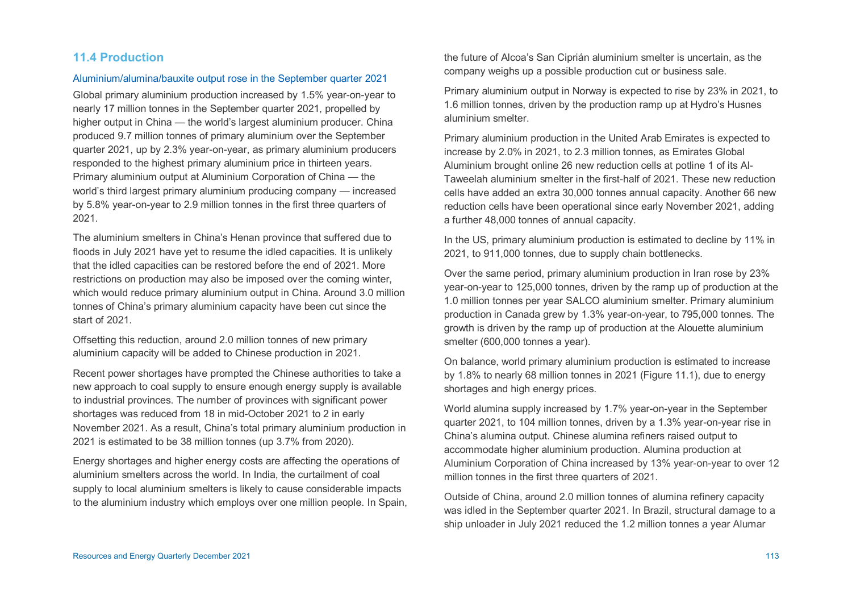# **11.4 Production**

#### Aluminium/alumina/bauxite output rose in the September quarter 2021

Global primary aluminium production increased by 1.5% year-on-year to nearly 17 million tonnes in the September quarter 2021, propelled by higher output in China — the world's largest aluminium producer. China produced 9.7 million tonnes of primary aluminium over the September quarter 2021, up by 2.3% year-on-year, as primary aluminium producers responded to the highest primary aluminium price in thirteen years. Primary aluminium output at Aluminium Corporation of China — the world's third largest primary aluminium producing company — increased by 5.8% year-on-year to 2.9 million tonnes in the first three quarters of 2021.

The aluminium smelters in China's Henan province that suffered due to floods in July 2021 have yet to resume the idled capacities. It is unlikely that the idled capacities can be restored before the end of 2021. More restrictions on production may also be imposed over the coming winter, which would reduce primary aluminium output in China. Around 3.0 million tonnes of China's primary aluminium capacity have been cut since the start of 2021.

Offsetting this reduction, around 2.0 million tonnes of new primary aluminium capacity will be added to Chinese production in 2021.

Recent power shortages have prompted the Chinese authorities to take a new approach to coal supply to ensure enough energy supply is available to industrial provinces. The number of provinces with significant power shortages was reduced from 18 in mid-October 2021 to 2 in early November 2021. As a result, China's total primary aluminium production in 2021 is estimated to be 38 million tonnes (up 3.7% from 2020).

Energy shortages and higher energy costs are affecting the operations of aluminium smelters across the world. In India, the curtailment of coal supply to local aluminium smelters is likely to cause considerable impacts to the aluminium industry which employs over one million people. In Spain, the future of Alcoa's San Ciprián aluminium smelter is uncertain, as the company weighs up a possible production cut or business sale.

Primary aluminium output in Norway is expected to rise by 23% in 2021, to 1.6 million tonnes, driven by the production ramp up at Hydro's Husnes aluminium smelter.

Primary aluminium production in the United Arab Emirates is expected to increase by 2.0% in 2021, to 2.3 million tonnes, as Emirates Global Aluminium brought online 26 new reduction cells at potline 1 of its Al-Taweelah aluminium smelter in the first-half of 2021. These new reduction cells have added an extra 30,000 tonnes annual capacity. Another 66 new reduction cells have been operational since early November 2021, adding a further 48,000 tonnes of annual capacity.

In the US, primary aluminium production is estimated to decline by 11% in 2021, to 911,000 tonnes, due to supply chain bottlenecks.

Over the same period, primary aluminium production in Iran rose by 23% year-on-year to 125,000 tonnes, driven by the ramp up of production at the 1.0 million tonnes per year SALCO aluminium smelter. Primary aluminium production in Canada grew by 1.3% year-on-year, to 795,000 tonnes. The growth is driven by the ramp up of production at the Alouette aluminium smelter (600,000 tonnes a year).

On balance, world primary aluminium production is estimated to increase by 1.8% to nearly 68 million tonnes in 2021 (Figure 11.1), due to energy shortages and high energy prices.

World alumina supply increased by 1.7% year-on-year in the September quarter 2021, to 104 million tonnes, driven by a 1.3% year-on-year rise in China's alumina output. Chinese alumina refiners raised output to accommodate higher aluminium production. Alumina production at Aluminium Corporation of China increased by 13% year-on-year to over 12 million tonnes in the first three quarters of 2021.

Outside of China, around 2.0 million tonnes of alumina refinery capacity was idled in the September quarter 2021. In Brazil, structural damage to a ship unloader in July 2021 reduced the 1.2 million tonnes a year Alumar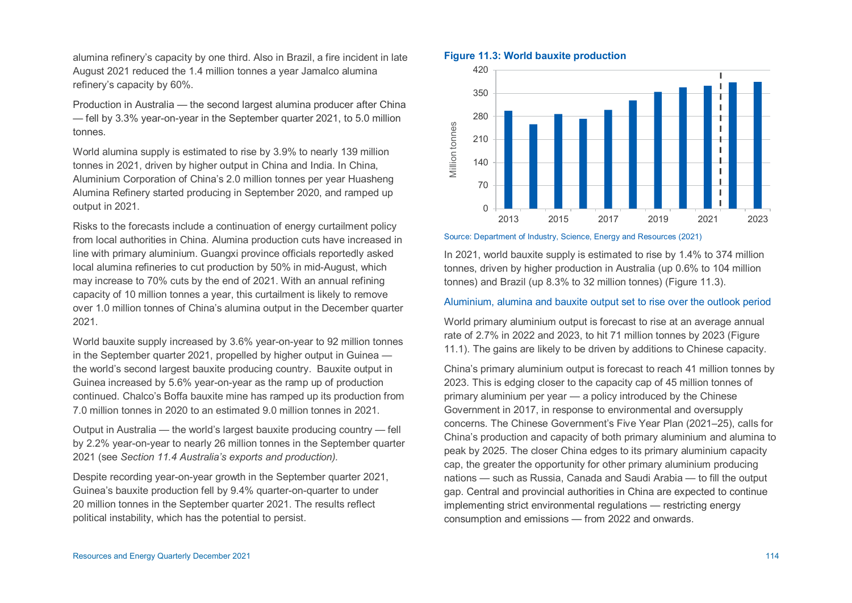alumina refinery's capacity by one third. Also in Brazil, a fire incident in late August 2021 reduced the 1.4 million tonnes a year Jamalco alumina refinery's capacity by 60%.

Production in Australia — the second largest alumina producer after China — fell by 3.3% year-on-year in the September quarter 2021, to 5.0 million tonnes.

World alumina supply is estimated to rise by 3.9% to nearly 139 million tonnes in 2021, driven by higher output in China and India. In China, Aluminium Corporation of China's 2.0 million tonnes per year Huasheng Alumina Refinery started producing in September 2020, and ramped up output in 2021.

Risks to the forecasts include a continuation of energy curtailment policy from local authorities in China. Alumina production cuts have increased in line with primary aluminium. Guangxi province officials reportedly asked local alumina refineries to cut production by 50% in mid-August, which may increase to 70% cuts by the end of 2021. With an annual refining capacity of 10 million tonnes a year, this curtailment is likely to remove over 1.0 million tonnes of China's alumina output in the December quarter 2021.

World bauxite supply increased by 3.6% year-on-year to 92 million tonnes in the September quarter 2021, propelled by higher output in Guinea the world's second largest bauxite producing country. Bauxite output in Guinea increased by 5.6% year-on-year as the ramp up of production continued. Chalco's Boffa bauxite mine has ramped up its production from 7.0 million tonnes in 2020 to an estimated 9.0 million tonnes in 2021.

Output in Australia — the world's largest bauxite producing country — fell by 2.2% year-on-year to nearly 26 million tonnes in the September quarter 2021 (see *Section 11.4 Australia's exports and production).* 

Despite recording year-on-year growth in the September quarter 2021, Guinea's bauxite production fell by 9.4% quarter-on-quarter to under 20 million tonnes in the September quarter 2021. The results reflect political instability, which has the potential to persist.

## **Figure 11.3: World bauxite production**



#### Source: Department of Industry, Science, Energy and Resources (2021)

In 2021, world bauxite supply is estimated to rise by 1.4% to 374 million tonnes, driven by higher production in Australia (up 0.6% to 104 million tonnes) and Brazil (up 8.3% to 32 million tonnes) (Figure 11.3).

## Aluminium, alumina and bauxite output set to rise over the outlook period

World primary aluminium output is forecast to rise at an average annual rate of 2.7% in 2022 and 2023, to hit 71 million tonnes by 2023 (Figure 11.1). The gains are likely to be driven by additions to Chinese capacity.

China's primary aluminium output is forecast to reach 41 million tonnes by 2023. This is edging closer to the capacity cap of 45 million tonnes of primary aluminium per year — a policy introduced by the Chinese Government in 2017, in response to environmental and oversupply concerns. The Chinese Government's Five Year Plan (2021–25), calls for China's production and capacity of both primary aluminium and alumina to peak by 2025. The closer China edges to its primary aluminium capacity cap, the greater the opportunity for other primary aluminium producing nations — such as Russia, Canada and Saudi Arabia — to fill the output gap. Central and provincial authorities in China are expected to continue implementing strict environmental regulations — restricting energy consumption and emissions — from 2022 and onwards.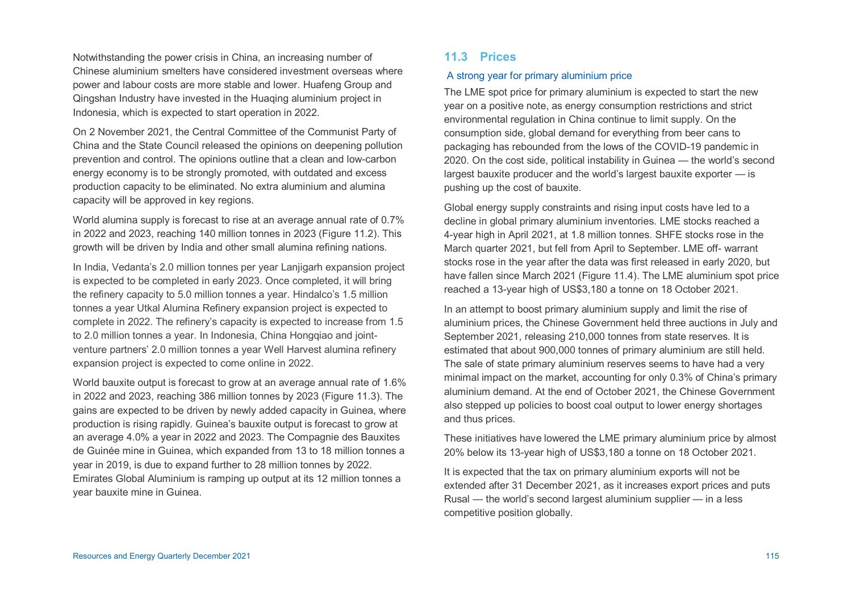Notwithstanding the power crisis in China, an increasing number of Chinese aluminium smelters have considered investment overseas where power and labour costs are more stable and lower. Huafeng Group and Qingshan Industry have invested in the Huaqing aluminium project in Indonesia, which is expected to start operation in 2022.

On 2 November 2021, the Central Committee of the Communist Party of China and the State Council released the opinions on deepening pollution prevention and control. The opinions outline that a clean and low-carbon energy economy is to be strongly promoted, with outdated and excess production capacity to be eliminated. No extra aluminium and alumina capacity will be approved in key regions.

World alumina supply is forecast to rise at an average annual rate of 0.7% in 2022 and 2023, reaching 140 million tonnes in 2023 (Figure 11.2). This growth will be driven by India and other small alumina refining nations.

In India, Vedanta's 2.0 million tonnes per year Lanjigarh expansion project is expected to be completed in early 2023. Once completed, it will bring the refinery capacity to 5.0 million tonnes a year. Hindalco's 1.5 million tonnes a year Utkal Alumina Refinery expansion project is expected to complete in 2022. The refinery's capacity is expected to increase from 1.5 to 2.0 million tonnes a year. In Indonesia, China Hongqiao and jointventure partners' 2.0 million tonnes a year Well Harvest alumina refinery expansion project is expected to come online in 2022.

World bauxite output is forecast to grow at an average annual rate of 1.6% in 2022 and 2023, reaching 386 million tonnes by 2023 (Figure 11.3). The gains are expected to be driven by newly added capacity in Guinea, where production is rising rapidly. Guinea's bauxite output is forecast to grow at an average 4.0% a year in 2022 and 2023. The Compagnie des Bauxites de Guinée mine in Guinea, which expanded from 13 to 18 million tonnes a year in 2019, is due to expand further to 28 million tonnes by 2022. Emirates Global Aluminium is ramping up output at its 12 million tonnes a year bauxite mine in Guinea.

# **11.3 Prices**

# A strong year for primary aluminium price

The LME spot price for primary aluminium is expected to start the new year on a positive note, as energy consumption restrictions and strict environmental regulation in China continue to limit supply. On the consumption side, global demand for everything from beer cans to packaging has rebounded from the lows of the COVID-19 pandemic in 2020. On the cost side, political instability in Guinea — the world's second largest bauxite producer and the world's largest bauxite exporter — is pushing up the cost of bauxite.

Global energy supply constraints and rising input costs have led to a decline in global primary aluminium inventories. LME stocks reached a 4-year high in April 2021, at 1.8 million tonnes. SHFE stocks rose in the March quarter 2021, but fell from April to September. LME off- warrant stocks rose in the year after the data was first released in early 2020, but have fallen since March 2021 (Figure 11.4). The LME aluminium spot price reached a 13-year high of US\$3,180 a tonne on 18 October 2021.

In an attempt to boost primary aluminium supply and limit the rise of aluminium prices, the Chinese Government held three auctions in July and September 2021, releasing 210,000 tonnes from state reserves. It is estimated that about 900,000 tonnes of primary aluminium are still held. The sale of state primary aluminium reserves seems to have had a very minimal impact on the market, accounting for only 0.3% of China's primary aluminium demand. At the end of October 2021, the Chinese Government also stepped up policies to boost coal output to lower energy shortages and thus prices.

These initiatives have lowered the LME primary aluminium price by almost 20% below its 13-year high of US\$3,180 a tonne on 18 October 2021.

It is expected that the tax on primary aluminium exports will not be extended after 31 December 2021, as it increases export prices and puts Rusal — the world's second largest aluminium supplier — in a less competitive position globally.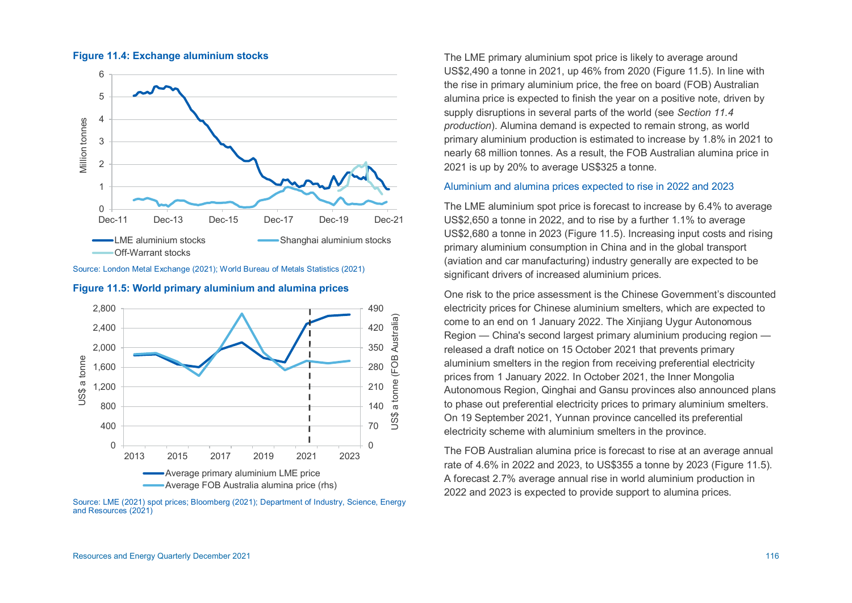

#### **Figure 11.4: Exchange aluminium stocks**

Source: London Metal Exchange (2021); World Bureau of Metals Statistics (2021)



**Figure 11.5: World primary aluminium and alumina prices** 

Source: LME (2021) spot prices; Bloomberg (2021); Department of Industry, Science, Energy and Resources (2021)

The LME primary aluminium spot price is likely to average around US\$2,490 a tonne in 2021, up 46% from 2020 (Figure 11.5). In line with the rise in primary aluminium price, the free on board (FOB) Australian alumina price is expected to finish the year on a positive note, driven by supply disruptions in several parts of the world (see *Section 11.4 production*). Alumina demand is expected to remain strong, as world primary aluminium production is estimated to increase by 1.8% in 2021 to nearly 68 million tonnes. As a result, the FOB Australian alumina price in 2021 is up by 20% to average US\$325 a tonne.

# Aluminium and alumina prices expected to rise in 2022 and 2023

The LME aluminium spot price is forecast to increase by 6.4% to average US\$2,650 a tonne in 2022, and to rise by a further 1.1% to average US\$2,680 a tonne in 2023 (Figure 11.5). Increasing input costs and rising primary aluminium consumption in China and in the global transport (aviation and car manufacturing) industry generally are expected to be significant drivers of increased aluminium prices.

One risk to the price assessment is the Chinese Government's discounted electricity prices for Chinese aluminium smelters, which are expected to come to an end on 1 January 2022. The Xinjiang Uygur Autonomous Region — China's second largest primary aluminium producing region released a draft notice on 15 October 2021 that prevents primary aluminium smelters in the region from receiving preferential electricity prices from 1 January 2022. In October 2021, the Inner Mongolia Autonomous Region, Qinghai and Gansu provinces also announced plans to phase out preferential electricity prices to primary aluminium smelters. On 19 September 2021, Yunnan province cancelled its preferential electricity scheme with aluminium smelters in the province.

The FOB Australian alumina price is forecast to rise at an average annual rate of 4.6% in 2022 and 2023, to US\$355 a tonne by 2023 (Figure 11.5). A forecast 2.7% average annual rise in world aluminium production in 2022 and 2023 is expected to provide support to alumina prices.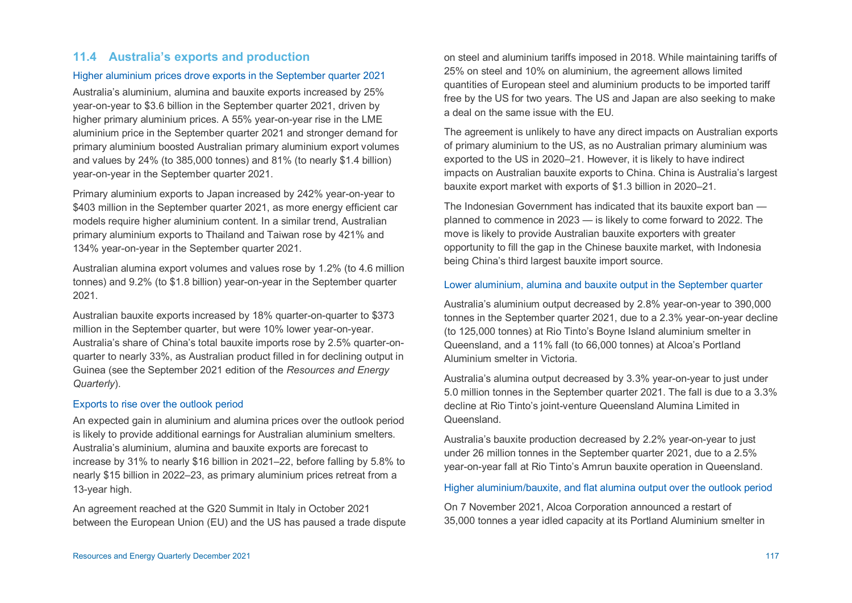# <span id="page-8-0"></span>**11.4 Australia's exports and production**

# Higher aluminium prices drove exports in the September quarter 2021

Australia's aluminium, alumina and bauxite exports increased by 25% year-on-year to \$3.6 billion in the September quarter 2021, driven by higher primary aluminium prices. A 55% year-on-year rise in the LME aluminium price in the September quarter 2021 and stronger demand for primary aluminium boosted Australian primary aluminium export volumes and values by 24% (to 385,000 tonnes) and 81% (to nearly \$1.4 billion) year-on-year in the September quarter 2021.

Primary aluminium exports to Japan increased by 242% year-on-year to \$403 million in the September quarter 2021, as more energy efficient car models require higher aluminium content. In a similar trend, Australian primary aluminium exports to Thailand and Taiwan rose by 421% and 134% year-on-year in the September quarter 2021.

Australian alumina export volumes and values rose by 1.2% (to 4.6 million tonnes) and 9.2% (to \$1.8 billion) year-on-year in the September quarter 2021.

Australian bauxite exports increased by 18% quarter-on-quarter to \$373 million in the September quarter, but were 10% lower year-on-year. Australia's share of China's total bauxite imports rose by 2.5% quarter-onquarter to nearly 33%, as Australian product filled in for declining output in Guinea (see the September 2021 edition of the *Resources and Energy Quarterly*).

#### Exports to rise over the outlook period

An expected gain in aluminium and alumina prices over the outlook period is likely to provide additional earnings for Australian aluminium smelters. Australia's aluminium, alumina and bauxite exports are forecast to increase by 31% to nearly \$16 billion in 2021–22, before falling by 5.8% to nearly \$15 billion in 2022–23, as primary aluminium prices retreat from a 13-year high.

An agreement reached at the G20 Summit in Italy in October 2021 between the European Union (EU) and the US has paused a trade dispute on steel and aluminium tariffs imposed in 2018. While maintaining tariffs of 25% on steel and 10% on aluminium, the agreement allows limited quantities of European steel and aluminium products to be imported tariff free by the US for two years. The US and Japan are also seeking to make a deal on the same issue with the EU.

The agreement is unlikely to have any direct impacts on Australian exports of primary aluminium to the US, as no Australian primary aluminium was exported to the US in 2020–21. However, it is likely to have indirect impacts on Australian bauxite exports to China. China is Australia's largest bauxite export market with exports of \$1.3 billion in 2020–21.

The Indonesian Government has indicated that its bauxite export ban planned to commence in 2023 — is likely to come forward to 2022. The move is likely to provide Australian bauxite exporters with greater opportunity to fill the gap in the Chinese bauxite market, with Indonesia being China's third largest bauxite import source.

#### Lower aluminium, alumina and bauxite output in the September quarter

Australia's aluminium output decreased by 2.8% year-on-year to 390,000 tonnes in the September quarter 2021, due to a 2.3% year-on-year decline (to 125,000 tonnes) at Rio Tinto's Boyne Island aluminium smelter in Queensland, and a 11% fall (to 66,000 tonnes) at Alcoa's Portland Aluminium smelter in Victoria.

Australia's alumina output decreased by 3.3% year-on-year to just under 5.0 million tonnes in the September quarter 2021. The fall is due to a 3.3% decline at Rio Tinto's joint-venture Queensland Alumina Limited in Queensland.

Australia's bauxite production decreased by 2.2% year-on-year to just under 26 million tonnes in the September quarter 2021, due to a 2.5% year-on-year fall at Rio Tinto's Amrun bauxite operation in Queensland.

#### Higher aluminium/bauxite, and flat alumina output over the outlook period

On 7 November 2021, Alcoa Corporation announced a restart of 35,000 tonnes a year idled capacity at its Portland Aluminium smelter in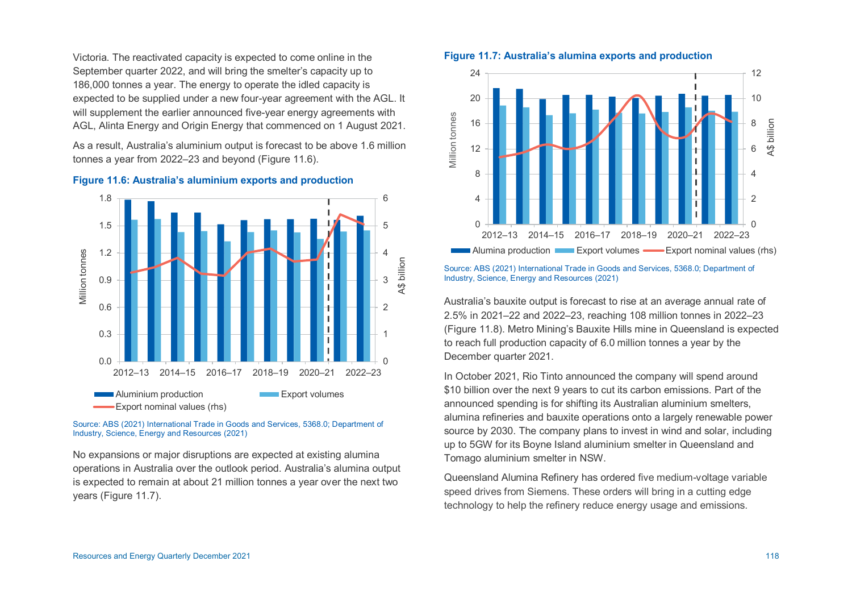Victoria. The reactivated capacity is expected to come online in the September quarter 2022, and will bring the smelter's capacity up to 186,000 tonnes a year. The energy to operate the idled capacity is expected to be supplied under a new four-year agreement with the AGL. It will supplement the earlier announced five-year energy agreements with AGL, Alinta Energy and Origin Energy that commenced on 1 August 2021.

As a result, Australia's aluminium output is forecast to be above 1.6 million tonnes a year from 2022–23 and beyond (Figure 11.6).



#### **Figure 11.6: Australia's aluminium exports and production**

Source: ABS (2021) International Trade in Goods and Services, 5368.0; Department of Industry, Science, Energy and Resources (2021)

No expansions or major disruptions are expected at existing alumina operations in Australia over the outlook period. Australia's alumina output is expected to remain at about 21 million tonnes a year over the next two years (Figure 11.7).

**Figure 11.7: Australia's alumina exports and production** 



Source: ABS (2021) International Trade in Goods and Services, 5368.0; Department of Industry, Science, Energy and Resources (2021)

Australia's bauxite output is forecast to rise at an average annual rate of 2.5% in 2021–22 and 2022–23, reaching 108 million tonnes in 2022–23 (Figure 11.8). Metro Mining's Bauxite Hills mine in Queensland is expected to reach full production capacity of 6.0 million tonnes a year by the December quarter 2021.

In October 2021, Rio Tinto announced the company will spend around \$10 billion over the next 9 years to cut its carbon emissions. Part of the announced spending is for shifting its Australian aluminium smelters, alumina refineries and bauxite operations onto a largely renewable power source by 2030. The company plans to invest in wind and solar, including up to 5GW for its Boyne Island aluminium smelter in Queensland and Tomago aluminium smelter in NSW.

Queensland Alumina Refinery has ordered five medium-voltage variable speed drives from Siemens. These orders will bring in a cutting edge technology to help the refinery reduce energy usage and emissions.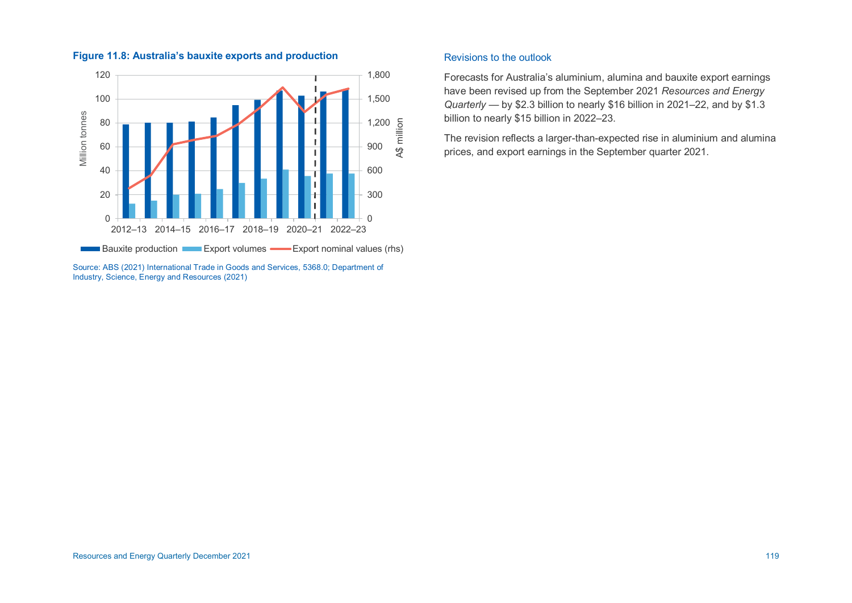

# **Figure 11.8: Australia's bauxite exports and production**

Source: ABS (2021) International Trade in Goods and Services, 5368.0; Department of Industry, Science, Energy and Resources (2021)

# Revisions to the outlook

Forecasts for Australia's aluminium, alumina and bauxite export earnings have been revised up from the September 2021 *Resources and Energy Quarterly* — by \$2.3 billion to nearly \$16 billion in 2021–22, and by \$1.3 billion to nearly \$15 billion in 2022–23.

The revision reflects a larger-than-expected rise in aluminium and alumina prices, and export earnings in the September quarter 2021.